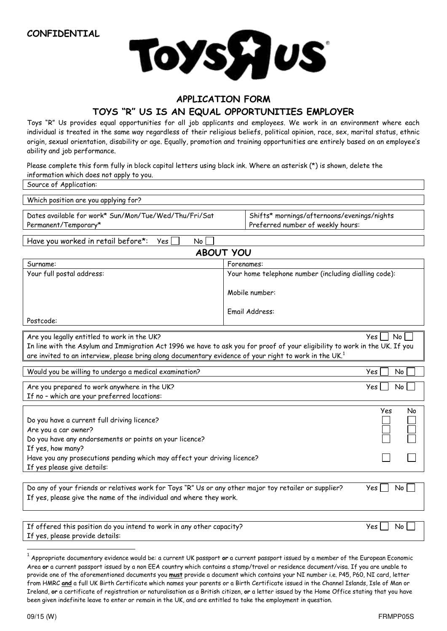**CONFIDENTIAL** 



## **APPLICATION FORM**

## **TOYS "R" US IS AN EQUAL OPPORTUNITIES EMPLOYER**

Toys "R" Us provides equal opportunities for all job applicants and employees. We work in an environment where each individual is treated in the same way regardless of their religious beliefs, political opinion, race, sex, marital status, ethnic origin, sexual orientation, disability or age. Equally, promotion and training opportunities are entirely based on an employee's ability and job performance.

Please complete this form fully in block capital letters using black ink. Where an asterisk (\*) is shown, delete the information which does not apply to you.

| Shifts* mornings/afternoons/evenings/nights<br>Preferred number of weekly hours:                                                                                                                                                                                                                                |  |  |  |  |
|-----------------------------------------------------------------------------------------------------------------------------------------------------------------------------------------------------------------------------------------------------------------------------------------------------------------|--|--|--|--|
|                                                                                                                                                                                                                                                                                                                 |  |  |  |  |
| <b>ABOUT YOU</b>                                                                                                                                                                                                                                                                                                |  |  |  |  |
| Forenames:                                                                                                                                                                                                                                                                                                      |  |  |  |  |
| Your home telephone number (including dialling code):                                                                                                                                                                                                                                                           |  |  |  |  |
| Mobile number:                                                                                                                                                                                                                                                                                                  |  |  |  |  |
| Email Address:                                                                                                                                                                                                                                                                                                  |  |  |  |  |
| Are you legally entitled to work in the UK?<br>Yes  <br>No<br>In line with the Asylum and Immigration Act 1996 we have to ask you for proof of your eligibility to work in the UK. If you<br>are invited to an interview, please bring along documentary evidence of your right to work in the UK. <sup>1</sup> |  |  |  |  |
| Yes<br>No                                                                                                                                                                                                                                                                                                       |  |  |  |  |
| No<br>Yes                                                                                                                                                                                                                                                                                                       |  |  |  |  |
| Yes<br>No                                                                                                                                                                                                                                                                                                       |  |  |  |  |
| Have you any prosecutions pending which may affect your driving licence?                                                                                                                                                                                                                                        |  |  |  |  |
| Do any of your friends or relatives work for Toys "R" Us or any other major toy retailer or supplier?<br>Yes<br>No<br>If yes, please give the name of the individual and where they work.                                                                                                                       |  |  |  |  |
| If offered this position do you intend to work in any other capacity?<br>Yes<br>No                                                                                                                                                                                                                              |  |  |  |  |
|                                                                                                                                                                                                                                                                                                                 |  |  |  |  |

1 Appropriate documentary evidence would be: a current UK passport **or** a current passport issued by a member of the European Economic Area **or** a current passport issued by a non EEA country which contains a stamp/travel or residence document/visa. If you are unable to provide one of the aforementioned documents you **must** provide a document which contains your NI number i.e. P45, P60, NI card, letter from HMRC **and** a full UK Birth Certificate which names your parents or a Birth Certificate issued in the Channel Islands, Isle of Man or Ireland, **or** a certificate of registration or naturalisation as a British citizen, **or** a letter issued by the Home Office stating that you have been given indefinite leave to enter or remain in the UK, and are entitled to take the employment in question.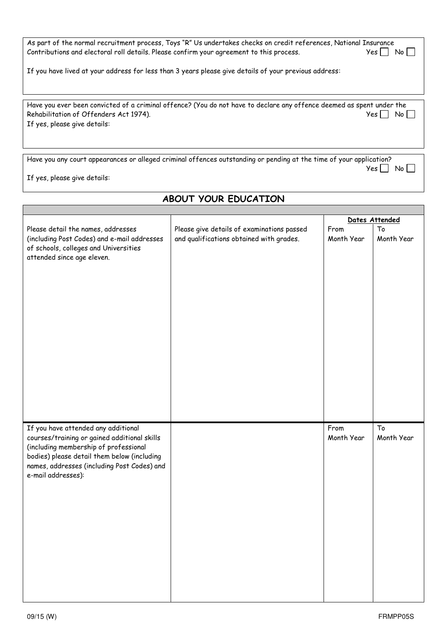| As part of the normal recruitment process, Toys "R" Us undertakes checks on credit references, National Insurance<br>Contributions and electoral roll details. Please confirm your agreement to this process. | Yes l<br>$N_0$   $\blacksquare$ |
|---------------------------------------------------------------------------------------------------------------------------------------------------------------------------------------------------------------|---------------------------------|
| If you have lived at your address for less than 3 years please give details of your previous address:                                                                                                         |                                 |
| Have you ever been convicted of a criminal offence? (You do not have to declare any offence deemed as spent under the<br>Rehabilitation of Offenders Act 1974).<br>If yes, please give details:               | Yes I<br>No l                   |
| Have you any court appearances or alleged criminal offences outstanding or pending at the time of your application?<br>If yes, please give details:                                                           | Yes.                            |

## **ABOUT YOUR EDUCATION**  Dates Attended Please detail the names, addresses (including Post Codes) and e-mail addresses of schools, colleges and Universities attended since age eleven. Please give details of examinations passed and qualifications obtained with grades. From Month Year To Month Year If you have attended any additional courses/training or gained additional skills (including membership of professional bodies) please detail them below (including names, addresses (including Post Codes) and e-mail addresses): From Month Year To Month Year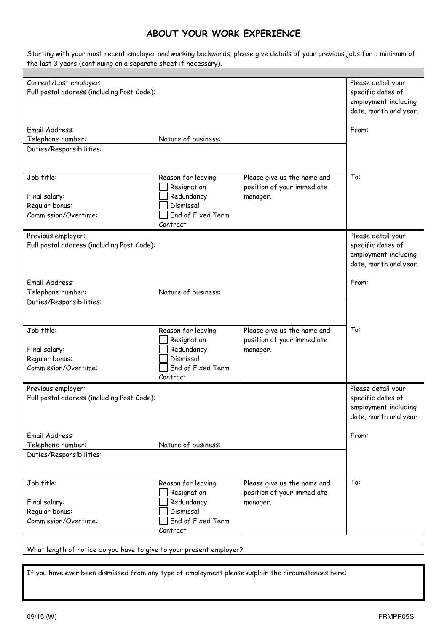## **ABOUT YOUR WORK EXPERIENCE**

Starting with your most recent employer and working backwards, please give details of your previous jobs for a minimum of the last 3 years (continuing on a separate sheet if necessary).

| Current/Last employer:                     |                                            |                             | Please detail your                            |
|--------------------------------------------|--------------------------------------------|-----------------------------|-----------------------------------------------|
|                                            | Full postal address (including Post Code): |                             | specific dates of                             |
|                                            |                                            |                             | employment including<br>date, month and year. |
|                                            |                                            |                             |                                               |
| Email Address:                             |                                            |                             | From:                                         |
| Telephone number:                          | Nature of business:                        |                             |                                               |
| Duties/Responsibilities:                   |                                            |                             |                                               |
|                                            |                                            |                             |                                               |
|                                            |                                            |                             |                                               |
| Job title:                                 | Reason for leaving:                        | Please give us the name and | To:                                           |
|                                            | Resignation                                | position of your immediate  |                                               |
| Final salary:                              | Redundancy<br>Dismissal                    | manager.                    |                                               |
| Regular bonus:<br>Commission/Overtime:     | End of Fixed Term                          |                             |                                               |
|                                            | Contract                                   |                             |                                               |
| Previous employer:                         |                                            |                             | Please detail your                            |
| Full postal address (including Post Code): |                                            |                             | specific dates of                             |
|                                            |                                            |                             | employment including                          |
|                                            |                                            |                             | date, month and year.                         |
|                                            |                                            |                             |                                               |
| Email Address:                             |                                            |                             | From:                                         |
| Telephone number:                          | Nature of business:                        |                             |                                               |
| Duties/Responsibilities:                   |                                            |                             |                                               |
|                                            |                                            |                             |                                               |
| Job title:                                 | Reason for leaving:                        | Please give us the name and | To:                                           |
|                                            | Resignation                                | position of your immediate  |                                               |
| Final salary:                              | Redundancy                                 | manager.                    |                                               |
| Regular bonus:                             | Dismissal                                  |                             |                                               |
| Commission/Overtime:                       | End of Fixed Term                          |                             |                                               |
|                                            | Contract                                   |                             |                                               |
| Previous employer:                         |                                            |                             | Please detail your                            |
| Full postal address (including Post Code): |                                            |                             | specific dates of                             |
|                                            |                                            |                             | employment including                          |
|                                            |                                            |                             | date, month and year.                         |
| Email Address:                             |                                            |                             | From:                                         |
| Telephone number:                          | Nature of business:                        |                             |                                               |
| Duties/Responsibilities:                   |                                            |                             |                                               |
|                                            |                                            |                             |                                               |
|                                            |                                            |                             |                                               |
| Job title:                                 | Reason for leaving:                        | Please give us the name and | To:                                           |
|                                            | Resignation                                | position of your immediate  |                                               |
| Final salary:                              | Redundancy                                 | manager.                    |                                               |
| Regular bonus:                             | Dismissal                                  |                             |                                               |
| Commission/Overtime:                       | End of Fixed Term                          |                             |                                               |
|                                            | Contract                                   |                             |                                               |

What length of notice do you have to give to your present employer?

If you have ever been dismissed from any type of employment please explain the circumstances here: